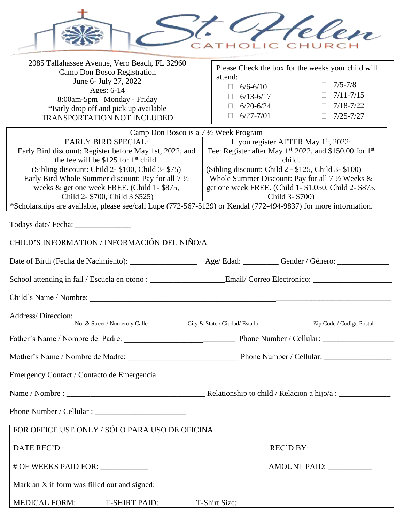

| 2085 Tallahassee Avenue, Vero Beach, FL 32960<br>Camp Don Bosco Registration                                                                                                                         | Please Check the box for the weeks your child will                 |  |  |
|------------------------------------------------------------------------------------------------------------------------------------------------------------------------------------------------------|--------------------------------------------------------------------|--|--|
| June 6- July 27, 2022                                                                                                                                                                                | attend:<br>$7/5 - 7/8$                                             |  |  |
| Ages: 6-14                                                                                                                                                                                           | $6/6 - 6/10$<br>$\Box$                                             |  |  |
| 8:00am-5pm Monday - Friday                                                                                                                                                                           | $7/11 - 7/15$<br>$\Box$<br>$\Box$ 6/13-6/17                        |  |  |
| *Early drop off and pick up available                                                                                                                                                                | $7/18 - 7/22$<br>$6/20 - 6/24$<br>$\Box$<br>$\Box$                 |  |  |
| <b>TRANSPORTATION NOT INCLUDED</b>                                                                                                                                                                   | $6/27 - 7/01$<br>$7/25 - 7/27$<br>$\Box$<br>$\Box$                 |  |  |
| Camp Don Bosco is a 7 1/2 Week Program                                                                                                                                                               |                                                                    |  |  |
| <b>EARLY BIRD SPECIAL:</b>                                                                                                                                                                           | If you register AFTER May 1 <sup>st</sup> , 2022:                  |  |  |
| Early Bird discount: Register before May 1st, 2022, and                                                                                                                                              | Fee: Register after May $1^{st}$ , 2022, and \$150.00 for $1^{st}$ |  |  |
|                                                                                                                                                                                                      |                                                                    |  |  |
| the fee will be \$125 for $1st$ child.                                                                                                                                                               | child.                                                             |  |  |
| (Sibling discount: Child 2- \$100, Child 3- \$75)                                                                                                                                                    | (Sibling discount: Child $2 - $125$ , Child $3 - $100$ )           |  |  |
| Early Bird Whole Summer discount: Pay for all $7\frac{1}{2}$                                                                                                                                         | Whole Summer Discount: Pay for all $7\frac{1}{2}$ Weeks &          |  |  |
| weeks & get one week FREE. (Child 1-\$875,                                                                                                                                                           | get one week FREE. (Child 1-\$1,050, Child 2-\$875,                |  |  |
| Child 2- \$700, Child 3 \$525)                                                                                                                                                                       | Child 3- \$700)                                                    |  |  |
| *Scholarships are available, please see/call Lupe (772-567-5129) or Kendal (772-494-9837) for more information.                                                                                      | the contract of the contract of the contract of                    |  |  |
|                                                                                                                                                                                                      |                                                                    |  |  |
| Todays date/ Fecha: _______________                                                                                                                                                                  |                                                                    |  |  |
| CHILD'S INFORMATION / INFORMACIÓN DEL NIÑO/A                                                                                                                                                         |                                                                    |  |  |
|                                                                                                                                                                                                      |                                                                    |  |  |
|                                                                                                                                                                                                      |                                                                    |  |  |
|                                                                                                                                                                                                      |                                                                    |  |  |
|                                                                                                                                                                                                      |                                                                    |  |  |
| No. & Street / Numero y Calle                                                                                                                                                                        | City & State / Ciudad/ Estado<br>Zip Code / Codigo Postal          |  |  |
|                                                                                                                                                                                                      |                                                                    |  |  |
|                                                                                                                                                                                                      |                                                                    |  |  |
| Emergency Contact / Contacto de Emergencia                                                                                                                                                           |                                                                    |  |  |
|                                                                                                                                                                                                      |                                                                    |  |  |
|                                                                                                                                                                                                      |                                                                    |  |  |
|                                                                                                                                                                                                      |                                                                    |  |  |
| FOR OFFICE USE ONLY / SÓLO PARA USO DE OFICINA                                                                                                                                                       |                                                                    |  |  |
| $\text{DATE REC'D}: \begin{tabular}{ c c c } \hline \multicolumn{3}{ c }{\text{\small\bf \textbf{DATE} \textbf{}}}}\hline \multicolumn{3}{ c }{\text{\small\bf \textbf{PATE REC'D}}}: \end{tabular}$ | REC'D BY:                                                          |  |  |
| # OF WEEKS PAID FOR: ___________                                                                                                                                                                     |                                                                    |  |  |
| Mark an X if form was filled out and signed:                                                                                                                                                         |                                                                    |  |  |
| MEDICAL FORM: T-SHIRT PAID: T-Shirt Size: T-Shirt Size:                                                                                                                                              |                                                                    |  |  |